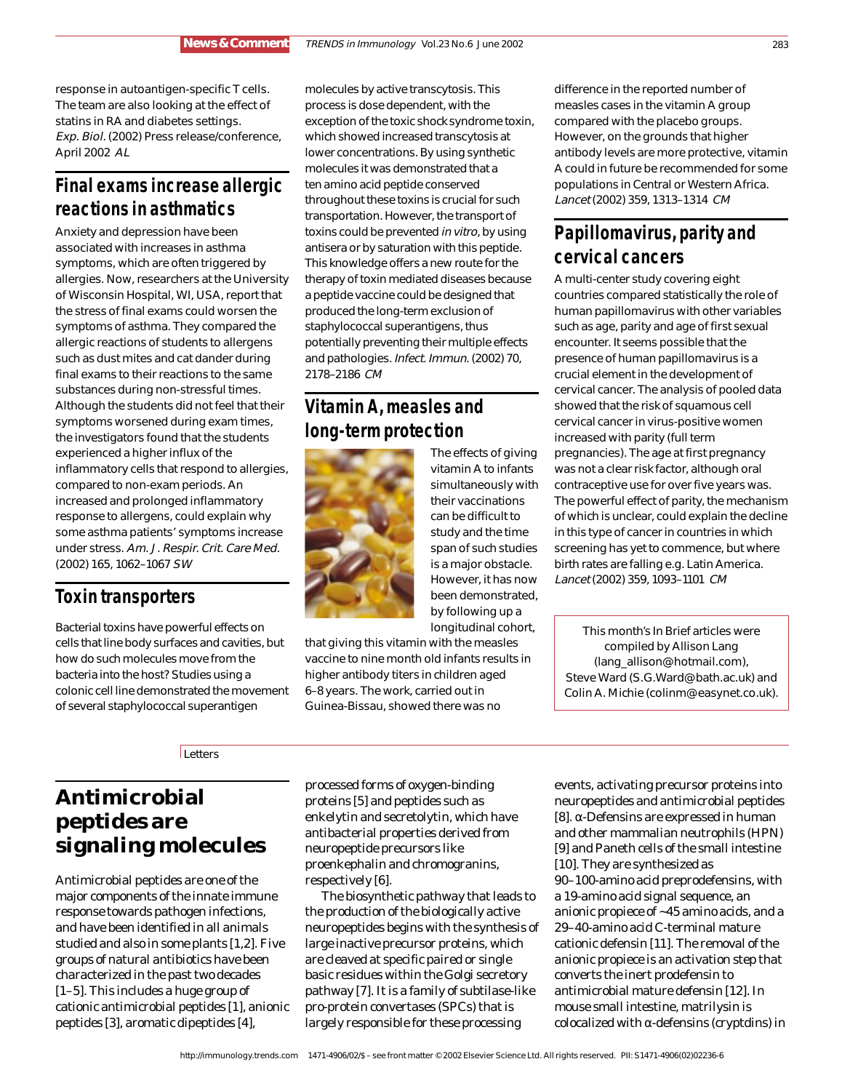response in autoantigen-specific T cells. The team are also looking at the effect of statins in RA and diabetes settings. Exp. Biol. (2002) Press release/conference, April 2002 AL

# **Final exams increase allergic reactions in asthmatics**

Anxiety and depression have been associated with increases in asthma symptoms, which are often triggered by allergies. Now, researchers at the University of Wisconsin Hospital, WI, USA, report that the stress of final exams could worsen the symptoms of asthma. They compared the allergic reactions of students to allergens such as dust mites and cat dander during final exams to their reactions to the same substances during non-stressful times. Although the students did not feel that their symptoms worsened during exam times, the investigators found that the students experienced a higher influx of the inflammatory cells that respond to allergies, compared to non-exam periods. An increased and prolonged inflammatory response to allergens, could explain why some asthma patients' symptoms increase under stress. Am. J. Respir. Crit. Care Med. (2002) 165, 1062–1067 SW

### **Toxin transporters**

Bacterial toxins have powerful effects on cells that line body surfaces and cavities, but how do such molecules move from the bacteria into the host? Studies using a colonic cell line demonstrated the movement of several staphylococcal superantigen

molecules by active transcytosis. This process is dose dependent, with the exception of the toxic shock syndrome toxin, which showed increased transcytosis at lower concentrations. By using synthetic molecules it was demonstrated that a ten amino acid peptide conserved throughout these toxins is crucial for such transportation. However, the transport of toxins could be prevented in vitro, by using antisera or by saturation with this peptide. This knowledge offers a new route for the therapy of toxin mediated diseases because a peptide vaccine could be designed that produced the long-term exclusion of staphylococcal superantigens, thus potentially preventing their multiple effects and pathologies. Infect. Immun. (2002) 70, 2178–2186 CM

### **Vitamin A, measles and long-term protection**



The effects of giving vitamin A to infants simultaneously with their vaccinations can be difficult to study and the time span of such studies is a major obstacle. However, it has now been demonstrated, by following up a longitudinal cohort,

that giving this vitamin with the measles vaccine to nine month old infants results in higher antibody titers in children aged 6–8 years. The work, carried out in Guinea-Bissau, showed there was no

difference in the reported number of measles cases in the vitamin A group compared with the placebo groups. However, on the grounds that higher antibody levels are more protective, vitamin A could in future be recommended for some populations in Central or Western Africa. Lancet (2002) 359, 1313–1314 CM

## **Papillomavirus, parity and cervical cancers**

A multi-center study covering eight countries compared statistically the role of human papillomavirus with other variables such as age, parity and age of first sexual encounter. It seems possible that the presence of human papillomavirus is a crucial element in the development of cervical cancer. The analysis of pooled data showed that the risk of squamous cell cervical cancer in virus-positive women increased with parity (full term pregnancies). The age at first pregnancy was not a clear risk factor, although oral contraceptive use for over five years was. The powerful effect of parity, the mechanism of which is unclear, could explain the decline in this type of cancer in countries in which screening has yet to commence, but where birth rates are falling e.g. Latin America. Lancet (2002) 359, 1093–1101 CM

This month's In Brief articles were compiled by Allison Lang (lang\_allison@hotmail.com), Steve Ward (S.G.Ward@bath.ac.uk) and Colin A. Michie (colinm@easynet.co.uk).

**Letters** 

# **Antimicrobial peptides are signaling molecules**

Antimicrobial peptides are one of the major components of the innate immune response towards pathogen infections, and have been identified in all animals studied and also in some plants [1,2]. Five groups of natural antibiotics have been characterized in the past two decades [1–5]. This includes a huge group of cationic antimicrobial peptides [1], anionic peptides [3], aromatic dipeptides [4],

processed forms of oxygen-binding proteins [5] and peptides such as enkelytin and secretolytin, which have antibacterial properties derived from neuropeptide precursors like proenkephalin and chromogranins, respectively [6].

The biosynthetic pathway that leads to the production of the biologically active neuropeptides begins with the synthesis of large inactive precursor proteins, which are cleaved at specific paired or single basic residues within the Golgi secretory pathway [7]. It is a family of subtilase-like pro-protein convertases (SPCs) that is largely responsible for these processing

events, activating precursor proteins into neuropeptides and antimicrobial peptides [8].  $\alpha$ -Defensins are expressed in human and other mammalian neutrophils (HPN) [9] and Paneth cells of the small intestine [10]. They are synthesized as 90–100-amino acid preprodefensins, with a 19-amino acid signal sequence, an anionic propiece of ~45 amino acids, and a 29–40-amino acid C-terminal mature cationic defensin [11]. The removal of the anionic propiece is an activation step that converts the inert prodefensin to antimicrobial mature defensin [12]. In mouse small intestine, matrilysin is colocalized with α-defensins (cryptdins) in